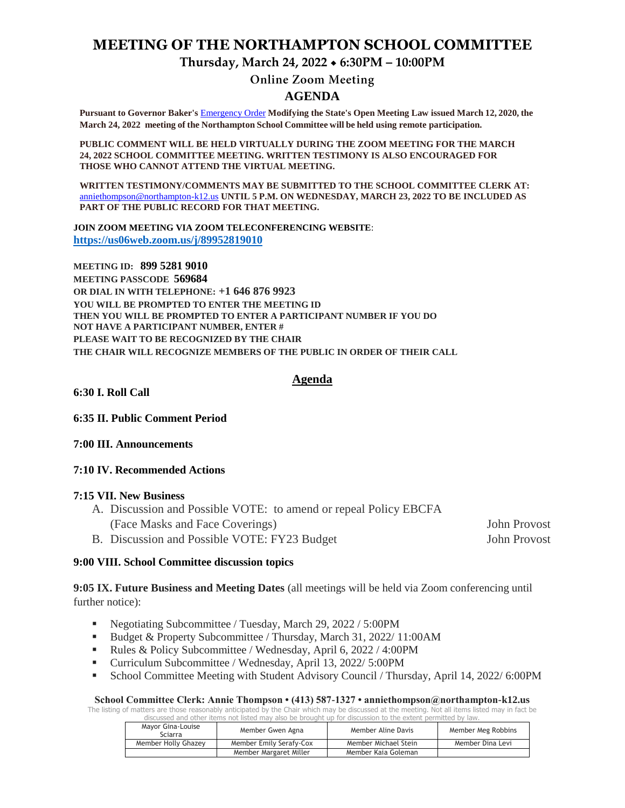### **MEETING OF THE NORTHAMPTON SCHOOL COMMITTEE**

**Thursday, March 24, 2022 6:30PM – 10:00PM**

# **Online Zoom Meeting**

#### **AGENDA**

**Pursuant to Governor Baker's** [Emergency Order](about:blank) **Modifying the State's Open Meeting Law issued March 12, 2020, the March 24, 2022 meeting of the Northampton School Committee will be held using remote participation.**

**PUBLIC COMMENT WILL BE HELD VIRTUALLY DURING THE ZOOM MEETING FOR THE MARCH 24, 2022 SCHOOL COMMITTEE MEETING. WRITTEN TESTIMONY IS ALSO ENCOURAGED FOR THOSE WHO CANNOT ATTEND THE VIRTUAL MEETING.**

**WRITTEN TESTIMONY/COMMENTS MAY BE SUBMITTED TO THE SCHOOL COMMITTEE CLERK AT:** [anniethompson@northampton-k12.us](about:blank) **UNTIL 5 P.M. ON WEDNESDAY, MARCH 23, 2022 TO BE INCLUDED AS PART OF THE PUBLIC RECORD FOR THAT MEETING.**

**JOIN ZOOM MEETING VIA ZOOM TELECONFERENCING WEBSITE**: **<https://us06web.zoom.us/j/89952819010>**

**MEETING ID: 899 5281 9010 MEETING PASSCODE 569684 OR DIAL IN WITH TELEPHONE: +1 646 876 9923 YOU WILL BE PROMPTED TO ENTER THE MEETING ID THEN YOU WILL BE PROMPTED TO ENTER A PARTICIPANT NUMBER IF YOU DO NOT HAVE A PARTICIPANT NUMBER, ENTER # PLEASE WAIT TO BE RECOGNIZED BY THE CHAIR THE CHAIR WILL RECOGNIZE MEMBERS OF THE PUBLIC IN ORDER OF THEIR CALL**

#### **Agenda**

**6:30 I. Roll Call** 

**6:35 II. Public Comment Period** 

**7:00 III. Announcements** 

#### **7:10 IV. Recommended Actions**

#### **7:15 VII. New Business**

- A. Discussion and Possible VOTE: to amend or repeal Policy EBCFA (Face Masks and Face Coverings) John Provost
- B. Discussion and Possible VOTE: FY23 Budget John Provost

#### **9:00 VIII. School Committee discussion topics**

**9:05 IX. Future Business and Meeting Dates** (all meetings will be held via Zoom conferencing until further notice):

- Negotiating Subcommittee / Tuesday, March 29, 2022 / 5:00 PM
- Budget & Property Subcommittee / Thursday, March 31, 2022/ 11:00AM
- Rules & Policy Subcommittee / Wednesday, April 6, 2022 / 4:00PM
- Curriculum Subcommittee / Wednesday, April 13, 2022/ 5:00PM
- School Committee Meeting with Student Advisory Council / Thursday, April 14, 2022/ 6:00PM

#### **School Committee Clerk: Annie Thompson • (413) 587-1327 • anniethompson@northampton-k12.us**

The listing of matters are those reasonably anticipated by the Chair which may be discussed at the meeting. Not all items listed may in fact be discussed and other items not listed may also be brought up for discussion to the extent permitted by law.

| Mayor Gina-Louise<br>Sciarra | Member Gwen Agna        | Member Aline Davis   | Member Meg Robbins |
|------------------------------|-------------------------|----------------------|--------------------|
| Member Holly Ghazey          | Member Emily Serafy-Cox | Member Michael Stein | Member Dina Levi   |
|                              | Member Margaret Miller  | Member Kaia Goleman  |                    |